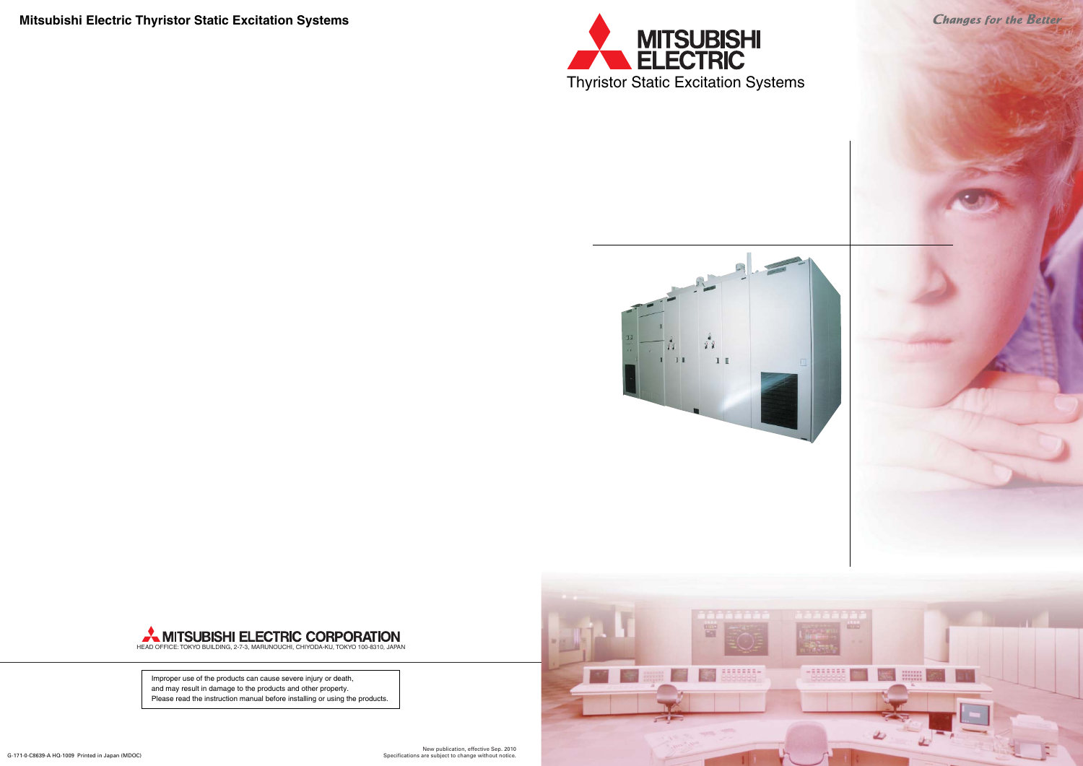

**Mitsubishi Electric Thyristor Static Excitation Systems**





# **MITSUBISHI ELECTRIC CORPORATION**<br>HEAD OFFICE: TOKYO BUILDING, 2-7-3, MARUNOUCHI, CHIYODA-KU, TOKYO 100-8310, JAPAN

Improper use of the products can cause severe injury or death, and may result in damage to the products and other property. Please read the instruction manual before installing or using the products.

New publication, effective Sep. 2010 Specifications are subject to change without notice.